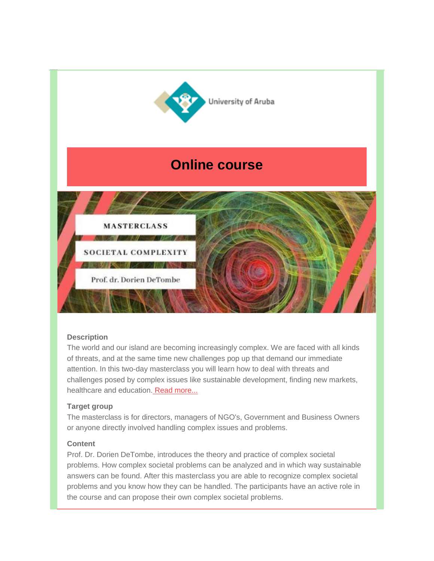

# **Description**

The world and our island are becoming increasingly complex. We are faced with all kinds of threats, and at the same time new challenges pop up that demand our immediate attention. In this two-day masterclass you will learn how to deal with threats and challenges posed by complex issues like sustainable development, finding new markets, healthcare and education. [Read more...](https://gallery.mailchimp.com/6564cd341620e8684e6915e9c/files/a608ce86-c1af-4302-ab13-b69c8705b524/intro_to_methodology.pdf)

## **Target group**

The masterclass is for directors, managers of NGO's, Government and Business Owners or anyone directly involved handling complex issues and problems.

# **Content**

Prof. Dr. Dorien DeTombe, introduces the theory and practice of complex societal problems. How complex societal problems can be analyzed and in which way sustainable answers can be found. After this masterclass you are able to recognize complex societal problems and you know how they can be handled. The participants have an active role in the course and can propose their own complex societal problems.